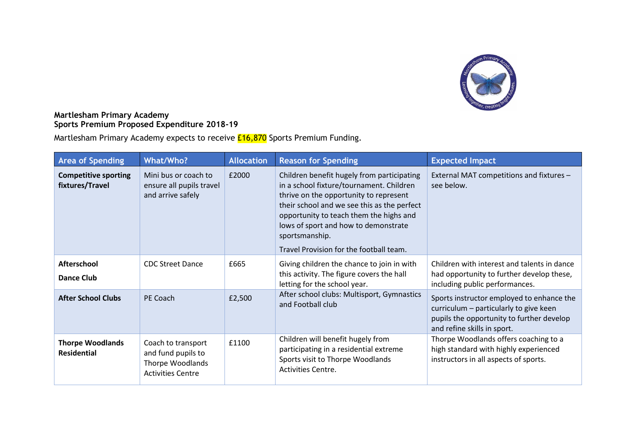

## **Martlesham Primary Academy Sports Premium Proposed Expenditure 2018-19**

Martlesham Primary Academy expects to receive **£16,870** Sports Premium Funding.

| <b>Area of Spending</b>                        | What/Who?                                                                                       | <b>Allocation</b> | <b>Reason for Spending</b>                                                                                                                                                                                                                                                                                                      | <b>Expected Impact</b>                                                                                                                                          |
|------------------------------------------------|-------------------------------------------------------------------------------------------------|-------------------|---------------------------------------------------------------------------------------------------------------------------------------------------------------------------------------------------------------------------------------------------------------------------------------------------------------------------------|-----------------------------------------------------------------------------------------------------------------------------------------------------------------|
| <b>Competitive sporting</b><br>fixtures/Travel | Mini bus or coach to<br>ensure all pupils travel<br>and arrive safely                           | £2000             | Children benefit hugely from participating<br>in a school fixture/tournament. Children<br>thrive on the opportunity to represent<br>their school and we see this as the perfect<br>opportunity to teach them the highs and<br>lows of sport and how to demonstrate<br>sportsmanship.<br>Travel Provision for the football team. | External MAT competitions and fixtures -<br>see below.                                                                                                          |
| <b>Afterschool</b><br><b>Dance Club</b>        | <b>CDC Street Dance</b>                                                                         | £665              | Giving children the chance to join in with<br>this activity. The figure covers the hall<br>letting for the school year.                                                                                                                                                                                                         | Children with interest and talents in dance<br>had opportunity to further develop these,<br>including public performances.                                      |
| <b>After School Clubs</b>                      | PE Coach                                                                                        | £2,500            | After school clubs: Multisport, Gymnastics<br>and Football club                                                                                                                                                                                                                                                                 | Sports instructor employed to enhance the<br>curriculum - particularly to give keen<br>pupils the opportunity to further develop<br>and refine skills in sport. |
| <b>Thorpe Woodlands</b><br><b>Residential</b>  | Coach to transport<br>and fund pupils to<br><b>Thorpe Woodlands</b><br><b>Activities Centre</b> | £1100             | Children will benefit hugely from<br>participating in a residential extreme<br>Sports visit to Thorpe Woodlands<br><b>Activities Centre.</b>                                                                                                                                                                                    | Thorpe Woodlands offers coaching to a<br>high standard with highly experienced<br>instructors in all aspects of sports.                                         |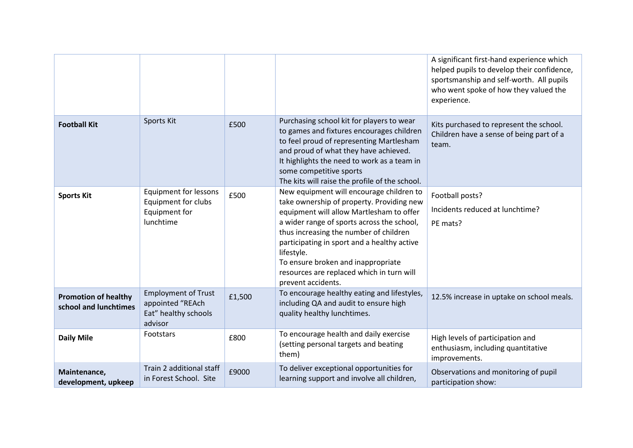|                                                      |                                                                                   |        |                                                                                                                                                                                                                                                                                                                                                                                                 | A significant first-hand experience which<br>helped pupils to develop their confidence,<br>sportsmanship and self-worth. All pupils<br>who went spoke of how they valued the<br>experience. |
|------------------------------------------------------|-----------------------------------------------------------------------------------|--------|-------------------------------------------------------------------------------------------------------------------------------------------------------------------------------------------------------------------------------------------------------------------------------------------------------------------------------------------------------------------------------------------------|---------------------------------------------------------------------------------------------------------------------------------------------------------------------------------------------|
| <b>Football Kit</b>                                  | Sports Kit                                                                        | £500   | Purchasing school kit for players to wear<br>to games and fixtures encourages children<br>to feel proud of representing Martlesham<br>and proud of what they have achieved.<br>It highlights the need to work as a team in<br>some competitive sports<br>The kits will raise the profile of the school.                                                                                         | Kits purchased to represent the school.<br>Children have a sense of being part of a<br>team.                                                                                                |
| <b>Sports Kit</b>                                    | <b>Equipment for lessons</b><br>Equipment for clubs<br>Equipment for<br>lunchtime | £500   | New equipment will encourage children to<br>take ownership of property. Providing new<br>equipment will allow Martlesham to offer<br>a wider range of sports across the school,<br>thus increasing the number of children<br>participating in sport and a healthy active<br>lifestyle.<br>To ensure broken and inappropriate<br>resources are replaced which in turn will<br>prevent accidents. | Football posts?<br>Incidents reduced at lunchtime?<br>PE mats?                                                                                                                              |
| <b>Promotion of healthy</b><br>school and lunchtimes | <b>Employment of Trust</b><br>appointed "REAch<br>Eat" healthy schools<br>advisor | £1,500 | To encourage healthy eating and lifestyles,<br>including QA and audit to ensure high<br>quality healthy lunchtimes.                                                                                                                                                                                                                                                                             | 12.5% increase in uptake on school meals.                                                                                                                                                   |
| <b>Daily Mile</b>                                    | Footstars                                                                         | £800   | To encourage health and daily exercise<br>(setting personal targets and beating<br>them)                                                                                                                                                                                                                                                                                                        | High levels of participation and<br>enthusiasm, including quantitative<br>improvements.                                                                                                     |
| Maintenance,<br>development, upkeep                  | Train 2 additional staff<br>in Forest School. Site                                | £9000  | To deliver exceptional opportunities for<br>learning support and involve all children,                                                                                                                                                                                                                                                                                                          | Observations and monitoring of pupil<br>participation show:                                                                                                                                 |